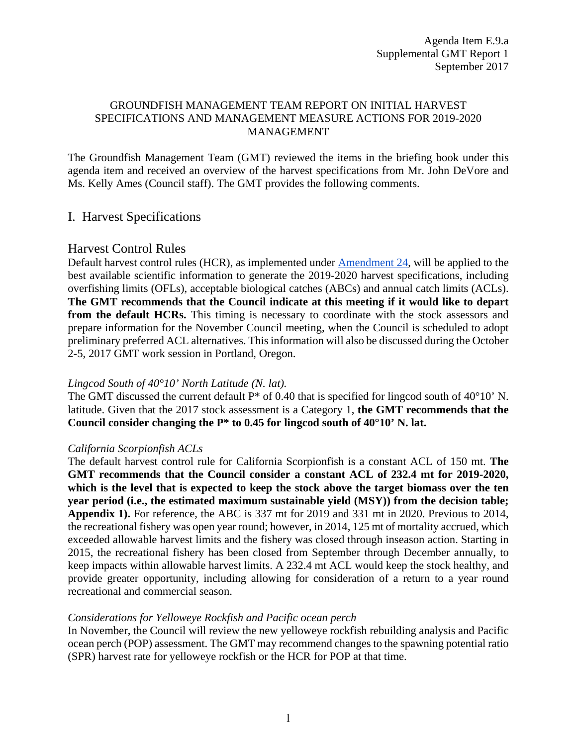## GROUNDFISH MANAGEMENT TEAM REPORT ON INITIAL HARVEST SPECIFICATIONS AND MANAGEMENT MEASURE ACTIONS FOR 2019-2020 MANAGEMENT

The Groundfish Management Team (GMT) reviewed the items in the briefing book under this agenda item and received an overview of the harvest specifications from Mr. John DeVore and Ms. Kelly Ames (Council staff). The GMT provides the following comments.

# I. Harvest Specifications

## Harvest Control Rules

Default harvest control rules (HCR), as implemented under Amendment 24, will be applied to the best available scientific information to generate the 2019-2020 harvest specifications, including overfishing limits (OFLs), acceptable biological catches (ABCs) and annual catch limits (ACLs). **The GMT recommends that the Council indicate at this meeting if it would like to depart from the default HCRs.** This timing is necessary to coordinate with the stock assessors and prepare information for the November Council meeting, when the Council is scheduled to adopt preliminary preferred ACL alternatives. This information will also be discussed during the October 2-5, 2017 GMT work session in Portland, Oregon.

### *Lingcod South of 40°10' North Latitude (N. lat).*

The GMT discussed the current default P<sup>\*</sup> of 0.40 that is specified for lingcod south of 40°10' N. latitude. Given that the 2017 stock assessment is a Category 1, **the GMT recommends that the Council consider changing the P\* to 0.45 for lingcod south of 40°10' N. lat.** 

### *California Scorpionfish ACLs*

The default harvest control rule for California Scorpionfish is a constant ACL of 150 mt. **The GMT recommends that the Council consider a constant ACL of 232.4 mt for 2019-2020, which is the level that is expected to keep the stock above the target biomass over the ten year period (i.e., the estimated maximum sustainable yield (MSY)) from the decision table; Appendix 1).** For reference, the ABC is 337 mt for 2019 and 331 mt in 2020. Previous to 2014, the recreational fishery was open year round; however, in 2014, 125 mt of mortality accrued, which exceeded allowable harvest limits and the fishery was closed through inseason action. Starting in 2015, the recreational fishery has been closed from September through December annually, to keep impacts within allowable harvest limits. A 232.4 mt ACL would keep the stock healthy, and provide greater opportunity, including allowing for consideration of a return to a year round recreational and commercial season.

### *Considerations for Yelloweye Rockfish and Pacific ocean perch*

In November, the Council will review the new yelloweye rockfish rebuilding analysis and Pacific ocean perch (POP) assessment. The GMT may recommend changes to the spawning potential ratio (SPR) harvest rate for yelloweye rockfish or the HCR for POP at that time.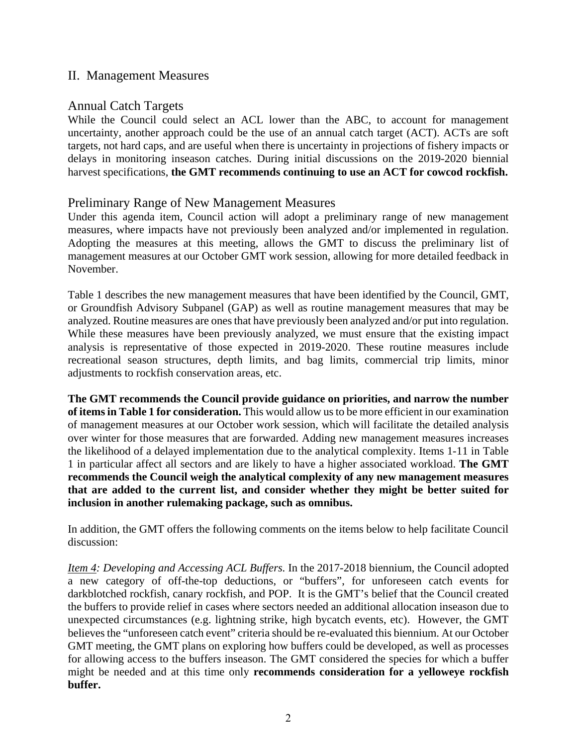# II. Management Measures

# Annual Catch Targets

While the Council could select an ACL lower than the ABC, to account for management uncertainty, another approach could be the use of an annual catch target (ACT). ACTs are soft targets, not hard caps, and are useful when there is uncertainty in projections of fishery impacts or delays in monitoring inseason catches. During initial discussions on the 2019-2020 biennial harvest specifications, **the GMT recommends continuing to use an ACT for cowcod rockfish.** 

## Preliminary Range of New Management Measures

Under this agenda item, Council action will adopt a preliminary range of new management measures, where impacts have not previously been analyzed and/or implemented in regulation. Adopting the measures at this meeting, allows the GMT to discuss the preliminary list of management measures at our October GMT work session, allowing for more detailed feedback in November.

Table 1 describes the new management measures that have been identified by the Council, GMT, or Groundfish Advisory Subpanel (GAP) as well as routine management measures that may be analyzed. Routine measures are ones that have previously been analyzed and/or put into regulation. While these measures have been previously analyzed, we must ensure that the existing impact analysis is representative of those expected in 2019-2020. These routine measures include recreational season structures, depth limits, and bag limits, commercial trip limits, minor adjustments to rockfish conservation areas, etc.

**The GMT recommends the Council provide guidance on priorities, and narrow the number of items in Table 1 for consideration.** This would allow us to be more efficient in our examination of management measures at our October work session, which will facilitate the detailed analysis over winter for those measures that are forwarded. Adding new management measures increases the likelihood of a delayed implementation due to the analytical complexity. Items 1-11 in Table 1 in particular affect all sectors and are likely to have a higher associated workload. **The GMT recommends the Council weigh the analytical complexity of any new management measures that are added to the current list, and consider whether they might be better suited for inclusion in another rulemaking package, such as omnibus.** 

In addition, the GMT offers the following comments on the items below to help facilitate Council discussion:

*Item 4: Developing and Accessing ACL Buffers.* In the 2017-2018 biennium, the Council adopted a new category of off-the-top deductions, or "buffers", for unforeseen catch events for darkblotched rockfish, canary rockfish, and POP. It is the GMT's belief that the Council created the buffers to provide relief in cases where sectors needed an additional allocation inseason due to unexpected circumstances (e.g. lightning strike, high bycatch events, etc). However, the GMT believes the "unforeseen catch event" criteria should be re-evaluated this biennium. At our October GMT meeting, the GMT plans on exploring how buffers could be developed, as well as processes for allowing access to the buffers inseason. The GMT considered the species for which a buffer might be needed and at this time only **recommends consideration for a yelloweye rockfish buffer.**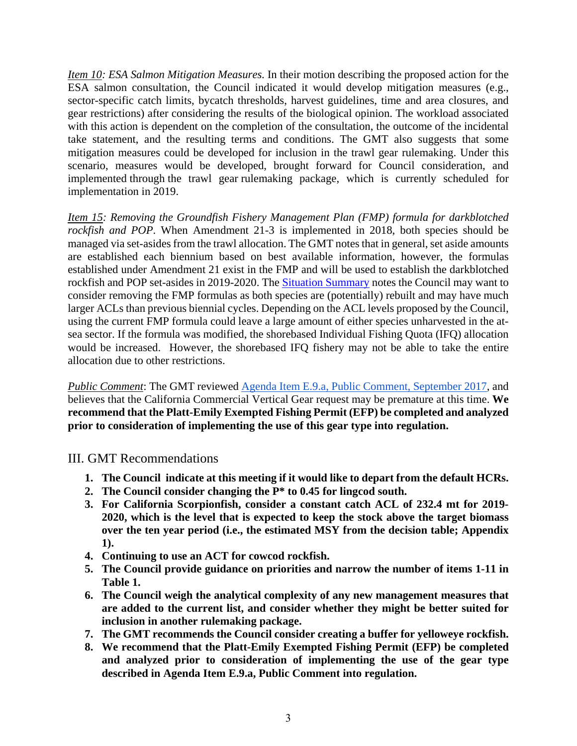*Item 10: ESA Salmon Mitigation Measures.* In their motion describing the proposed action for the ESA salmon consultation, the Council indicated it would develop mitigation measures (e.g., sector-specific catch limits, bycatch thresholds, harvest guidelines, time and area closures, and gear restrictions) after considering the results of the biological opinion. The workload associated with this action is dependent on the completion of the consultation, the outcome of the incidental take statement, and the resulting terms and conditions. The GMT also suggests that some mitigation measures could be developed for inclusion in the trawl gear rulemaking. Under this scenario, measures would be developed, brought forward for Council consideration, and implemented through the trawl gear rulemaking package, which is currently scheduled for implementation in 2019.

*Item 15: Removing the Groundfish Fishery Management Plan (FMP) formula for darkblotched rockfish and POP*. When Amendment 21-3 is implemented in 2018, both species should be managed via set-asides from the trawl allocation. The GMT notes that in general, set aside amounts are established each biennium based on best available information, however, the formulas established under Amendment 21 exist in the FMP and will be used to establish the darkblotched rockfish and POP set-asides in 2019-2020. The Situation Summary notes the Council may want to consider removing the FMP formulas as both species are (potentially) rebuilt and may have much larger ACLs than previous biennial cycles. Depending on the ACL levels proposed by the Council, using the current FMP formula could leave a large amount of either species unharvested in the atsea sector. If the formula was modified, the shorebased Individual Fishing Quota (IFQ) allocation would be increased. However, the shorebased IFQ fishery may not be able to take the entire allocation due to other restrictions.

*Public Comment*: The GMT reviewed Agenda Item E.9.a, Public Comment, September 2017, and believes that the California Commercial Vertical Gear request may be premature at this time. **We recommend that the Platt-Emily Exempted Fishing Permit (EFP) be completed and analyzed prior to consideration of implementing the use of this gear type into regulation.** 

III. GMT Recommendations

- **1. The Council indicate at this meeting if it would like to depart from the default HCRs.**
- **2. The Council consider changing the P\* to 0.45 for lingcod south.**
- **3. For California Scorpionfish, consider a constant catch ACL of 232.4 mt for 2019- 2020, which is the level that is expected to keep the stock above the target biomass over the ten year period (i.e., the estimated MSY from the decision table; Appendix 1).**
- **4. Continuing to use an ACT for cowcod rockfish.**
- **5. The Council provide guidance on priorities and narrow the number of items 1-11 in Table 1.**
- **6. The Council weigh the analytical complexity of any new management measures that are added to the current list, and consider whether they might be better suited for inclusion in another rulemaking package.**
- **7. The GMT recommends the Council consider creating a buffer for yelloweye rockfish.**
- **8. We recommend that the Platt-Emily Exempted Fishing Permit (EFP) be completed and analyzed prior to consideration of implementing the use of the gear type described in Agenda Item E.9.a, Public Comment into regulation.**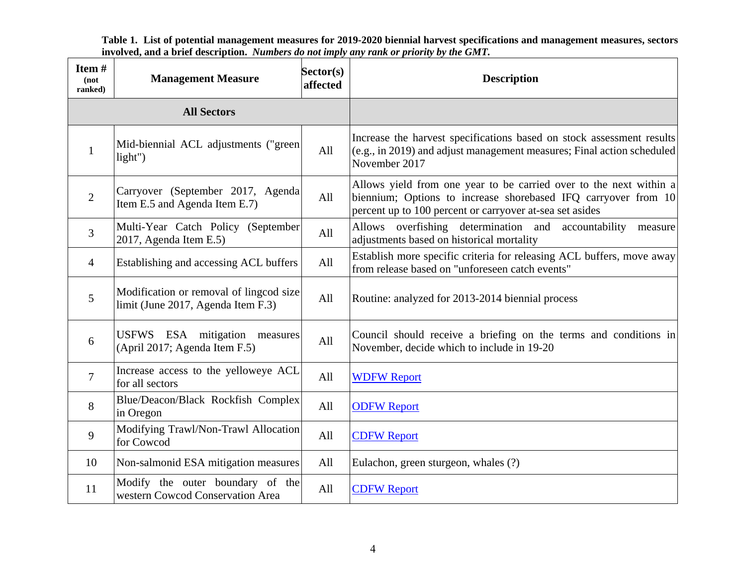**Table 1. List of potential management measures for 2019-2020 biennial harvest specifications and management measures, sectors involved, and a brief description.** *Numbers do not imply any rank or priority by the GMT.*

| Item#<br>$($ not<br>ranked) | <b>Management Measure</b>                                                                                                                                                                                                                                                     | Sector(s)<br>affected | <b>Description</b>                                                                                                                                                 |  |  |  |
|-----------------------------|-------------------------------------------------------------------------------------------------------------------------------------------------------------------------------------------------------------------------------------------------------------------------------|-----------------------|--------------------------------------------------------------------------------------------------------------------------------------------------------------------|--|--|--|
|                             | <b>All Sectors</b>                                                                                                                                                                                                                                                            |                       |                                                                                                                                                                    |  |  |  |
| $\mathbf{1}$                | Mid-biennial ACL adjustments ("green<br>light")                                                                                                                                                                                                                               | All                   | Increase the harvest specifications based on stock assessment results<br>$(c.g., in 2019)$ and adjust management measures; Final action scheduled<br>November 2017 |  |  |  |
| $\overline{2}$              | Allows yield from one year to be carried over to the next within a<br>Carryover (September 2017, Agenda<br>All<br>biennium; Options to increase shorebased IFQ carryover from 10<br>Item E.5 and Agenda Item E.7)<br>percent up to 100 percent or carryover at-sea set asides |                       |                                                                                                                                                                    |  |  |  |
| 3                           | Multi-Year Catch Policy (September<br>2017, Agenda Item E.5)                                                                                                                                                                                                                  | All                   | Allows overfishing determination and accountability<br>measure<br>adjustments based on historical mortality                                                        |  |  |  |
| $\overline{4}$              | Establishing and accessing ACL buffers                                                                                                                                                                                                                                        | All                   | Establish more specific criteria for releasing ACL buffers, move away<br>from release based on "unforeseen catch events"                                           |  |  |  |
| 5                           | Modification or removal of lingcod size<br>limit (June 2017, Agenda Item F.3)                                                                                                                                                                                                 | All                   | Routine: analyzed for 2013-2014 biennial process                                                                                                                   |  |  |  |
| 6                           | USFWS ESA mitigation<br>measures<br>(April 2017; Agenda Item F.5)                                                                                                                                                                                                             | All                   | Council should receive a briefing on the terms and conditions in<br>November, decide which to include in 19-20                                                     |  |  |  |
| $\overline{7}$              | Increase access to the yelloweye ACL<br>for all sectors                                                                                                                                                                                                                       | All                   | <b>WDFW Report</b>                                                                                                                                                 |  |  |  |
| 8                           | Blue/Deacon/Black Rockfish Complex<br>in Oregon                                                                                                                                                                                                                               | All                   | <b>ODFW Report</b>                                                                                                                                                 |  |  |  |
| 9                           | Modifying Trawl/Non-Trawl Allocation<br>for Cowcod                                                                                                                                                                                                                            | All                   | <b>CDFW Report</b>                                                                                                                                                 |  |  |  |
| 10                          | Non-salmonid ESA mitigation measures                                                                                                                                                                                                                                          | All                   | Eulachon, green sturgeon, whales (?)                                                                                                                               |  |  |  |
| 11                          | Modify the outer boundary of the<br>western Cowcod Conservation Area                                                                                                                                                                                                          | All                   | <b>CDFW Report</b>                                                                                                                                                 |  |  |  |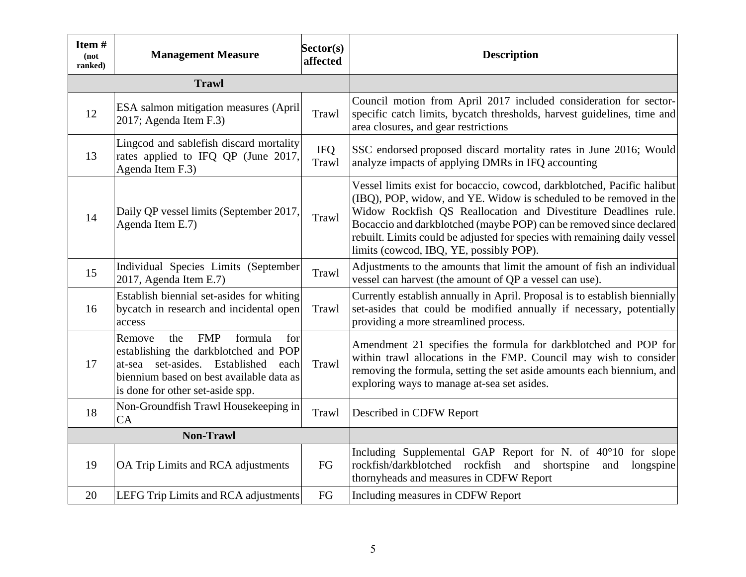| Item#<br>(not<br>ranked) | <b>Management Measure</b>                                                                                                                                                                                        | Sector(s)<br>affected | <b>Description</b>                                                                                                                                                                                                                                                                                                                                                                                             |  |  |  |
|--------------------------|------------------------------------------------------------------------------------------------------------------------------------------------------------------------------------------------------------------|-----------------------|----------------------------------------------------------------------------------------------------------------------------------------------------------------------------------------------------------------------------------------------------------------------------------------------------------------------------------------------------------------------------------------------------------------|--|--|--|
|                          | <b>Trawl</b>                                                                                                                                                                                                     |                       |                                                                                                                                                                                                                                                                                                                                                                                                                |  |  |  |
| 12                       | ESA salmon mitigation measures (April<br>2017; Agenda Item F.3)                                                                                                                                                  | Trawl                 | Council motion from April 2017 included consideration for sector-<br>specific catch limits, bycatch thresholds, harvest guidelines, time and<br>area closures, and gear restrictions                                                                                                                                                                                                                           |  |  |  |
| 13                       | Lingcod and sablefish discard mortality<br>rates applied to IFQ QP (June 2017,<br>Agenda Item F.3)                                                                                                               | <b>IFQ</b><br>Trawl   | SSC endorsed proposed discard mortality rates in June 2016; Would<br>analyze impacts of applying DMRs in IFQ accounting                                                                                                                                                                                                                                                                                        |  |  |  |
| 14                       | Daily QP vessel limits (September 2017,<br>Agenda Item E.7)                                                                                                                                                      | Trawl                 | Vessel limits exist for bocaccio, cowcod, darkblotched, Pacific halibut<br>(IBQ), POP, widow, and YE. Widow is scheduled to be removed in the<br>Widow Rockfish QS Reallocation and Divestiture Deadlines rule.<br>Bocaccio and darkblotched (maybe POP) can be removed since declared<br>rebuilt. Limits could be adjusted for species with remaining daily vessel<br>limits (cowcod, IBQ, YE, possibly POP). |  |  |  |
| 15                       | Individual Species Limits (September<br>$2017$ , Agenda Item E.7)                                                                                                                                                | Trawl                 | Adjustments to the amounts that limit the amount of fish an individual<br>vessel can harvest (the amount of QP a vessel can use).                                                                                                                                                                                                                                                                              |  |  |  |
| 16                       | Establish biennial set-asides for whiting<br>bycatch in research and incidental open<br>access                                                                                                                   | Trawl                 | Currently establish annually in April. Proposal is to establish biennially<br>set-asides that could be modified annually if necessary, potentially<br>providing a more streamlined process.                                                                                                                                                                                                                    |  |  |  |
| 17                       | formula<br>for<br>the<br><b>FMP</b><br>Remove<br>establishing the darkblotched and POP<br>at-sea set-asides. Established<br>each<br>biennium based on best available data as<br>is done for other set-aside spp. | Trawl                 | Amendment 21 specifies the formula for darkblotched and POP for<br>within trawl allocations in the FMP. Council may wish to consider<br>removing the formula, setting the set aside amounts each biennium, and<br>exploring ways to manage at-sea set asides.                                                                                                                                                  |  |  |  |
| 18                       | Non-Groundfish Trawl Housekeeping in<br>CA                                                                                                                                                                       | Trawl                 | Described in CDFW Report                                                                                                                                                                                                                                                                                                                                                                                       |  |  |  |
|                          | <b>Non-Trawl</b>                                                                                                                                                                                                 |                       |                                                                                                                                                                                                                                                                                                                                                                                                                |  |  |  |
| 19                       | OA Trip Limits and RCA adjustments                                                                                                                                                                               | FG                    | Including Supplemental GAP Report for N. of 40°10 for slope<br>rockfish/darkblotched rockfish<br>and<br>shortspine<br>longspine<br>and<br>thornyheads and measures in CDFW Report                                                                                                                                                                                                                              |  |  |  |
| 20                       | LEFG Trip Limits and RCA adjustments                                                                                                                                                                             | FG                    | Including measures in CDFW Report                                                                                                                                                                                                                                                                                                                                                                              |  |  |  |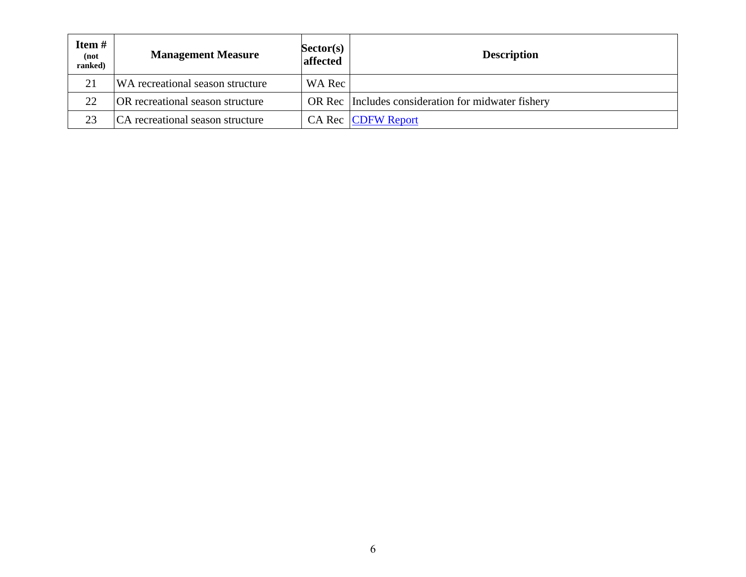| Item#<br>(not<br>ranked) | <b>Management Measure</b>               | Sector(s)<br><b>affected</b> | <b>Description</b>                                 |
|--------------------------|-----------------------------------------|------------------------------|----------------------------------------------------|
| 21                       | WA recreational season structure        | WA Rec                       |                                                    |
| 22                       | <b>OR</b> recreational season structure |                              | OR Rec Includes consideration for midwater fishery |
| 23                       | CA recreational season structure        |                              | <b>CA Rec CDFW Report</b>                          |